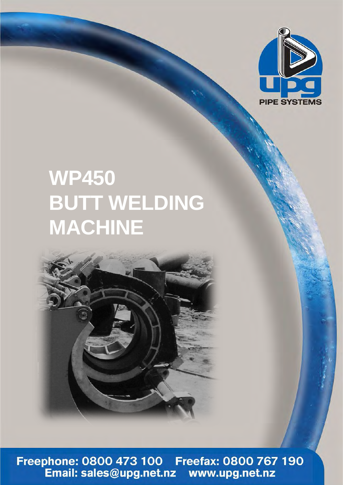

## **WP450 BUTT WELDING MACHINE**



Freephone: 0800 473 100 Freefax: 0800 767 190<br>Email: sales@upg.net.nz www.upg.net.nz